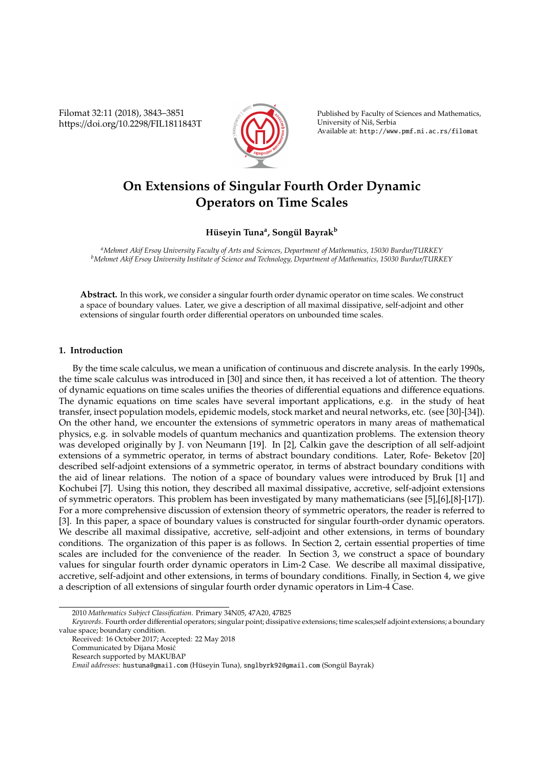Filomat 32:11 (2018), 3843–3851 https://doi.org/10.2298/FIL1811843T



Published by Faculty of Sciences and Mathematics, University of Niš, Serbia Available at: http://www.pmf.ni.ac.rs/filomat

# **On Extensions of Singular Fourth Order Dynamic Operators on Time Scales**

# **H ¨useyin Tuna<sup>a</sup> , Song ¨ul Bayrak<sup>b</sup>**

*<sup>a</sup>Mehmet Akif Ersoy University Faculty of Arts and Sciences, Department of Mathematics, 15030 Burdur*/*TURKEY <sup>b</sup>Mehmet Akif Ersoy University Institute of Science and Technology, Department of Mathematics, 15030 Burdur*/*TURKEY*

**Abstract.** In this work, we consider a singular fourth order dynamic operator on time scales. We construct a space of boundary values. Later, we give a description of all maximal dissipative, self-adjoint and other extensions of singular fourth order differential operators on unbounded time scales.

## **1. Introduction**

By the time scale calculus, we mean a unification of continuous and discrete analysis. In the early 1990s, the time scale calculus was introduced in [30] and since then, it has received a lot of attention. The theory of dynamic equations on time scales unifies the theories of differential equations and difference equations. The dynamic equations on time scales have several important applications, e.g. in the study of heat transfer, insect population models, epidemic models, stock market and neural networks, etc. (see [30]-[34]). On the other hand, we encounter the extensions of symmetric operators in many areas of mathematical physics, e.g. in solvable models of quantum mechanics and quantization problems. The extension theory was developed originally by J. von Neumann [19]. In [2], Calkin gave the description of all self-adjoint extensions of a symmetric operator, in terms of abstract boundary conditions. Later, Rofe- Beketov [20] described self-adjoint extensions of a symmetric operator, in terms of abstract boundary conditions with the aid of linear relations. The notion of a space of boundary values were introduced by Bruk [1] and Kochubei [7]. Using this notion, they described all maximal dissipative, accretive, self-adjoint extensions of symmetric operators. This problem has been investigated by many mathematicians (see [5],[6],[8]-[17]). For a more comprehensive discussion of extension theory of symmetric operators, the reader is referred to [3]. In this paper, a space of boundary values is constructed for singular fourth-order dynamic operators. We describe all maximal dissipative, accretive, self-adjoint and other extensions, in terms of boundary conditions. The organization of this paper is as follows. In Section 2, certain essential properties of time scales are included for the convenience of the reader. In Section 3, we construct a space of boundary values for singular fourth order dynamic operators in Lim-2 Case. We describe all maximal dissipative, accretive, self-adjoint and other extensions, in terms of boundary conditions. Finally, in Section 4, we give a description of all extensions of singular fourth order dynamic operators in Lim-4 Case.

<sup>2010</sup> *Mathematics Subject Classification*. Primary 34N05, 47A20, 47B25

*Keywords*. Fourth order differential operators; singular point; dissipative extensions; time scales;self adjoint extensions; a boundary value space; boundary condition.

Received: 16 October 2017; Accepted: 22 May 2018

Communicated by Dijana Mosic´

Research supported by MAKUBAP

*Email addresses:* hustuna@gmail.com (Hüseyin Tuna), snglbyrk92@gmail.com (Songül Bayrak)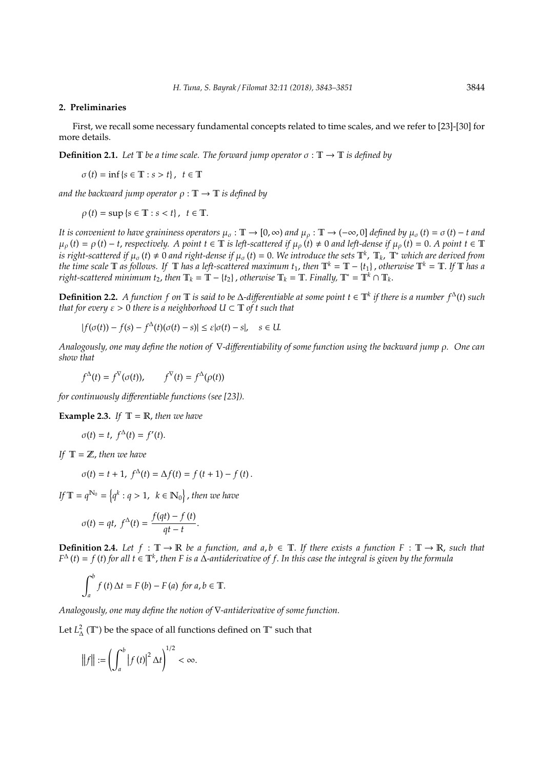#### **2. Preliminaries**

First, we recall some necessary fundamental concepts related to time scales, and we refer to [23]-[30] for more details.

**Definition 2.1.** *Let*  $\mathbb{T}$  *be a time scale. The forward jump operator*  $\sigma : \mathbb{T} \to \mathbb{T}$  *is defined by* 

 $\sigma(t) = \inf \{ s \in \mathbb{T} : s > t \}, t \in \mathbb{T}$ 

*and the backward jump operator*  $\rho : \mathbb{T} \to \mathbb{T}$  *is defined by* 

 $\rho(t) = \sup \{s \in \mathbb{T} : s < t\}, t \in \mathbb{T}.$ 

*It is convenient to have graininess operators*  $\mu_{\sigma} : \mathbb{T} \to [0, \infty)$  *and*  $\mu_{\rho} : \mathbb{T} \to (-\infty, 0]$  *defined by*  $\mu_{\sigma}(t) = \sigma(t) - t$  *and*  $\mu_{\rho}(t) = \rho(t) - t$ , *respectively.* A point  $t \in \mathbb{T}$  is left-scattered if  $\mu_{\rho}(t) \neq 0$  and left-dense if  $\mu_{\rho}(t) = 0$ . A point  $t \in \mathbb{T}$ is right-scattered if  $\mu_{\sigma}$  (t)  $\neq 0$  and right-dense if  $\mu_{\sigma}$  (t) = 0. We introduce the sets  $\mathbb{T}^k$ ,  $\mathbb{T}_k$ ,  $\mathbb{T}^*$  which are derived from *the time scale*  $\mathbb T$  *as follows.* If  $\mathbb T$  *has a left-scattered maximum*  $t_1$ , *then*  $\mathbb T^k = \mathbb T - \{t_1\}$ , *otherwise*  $\mathbb T^k = \mathbb T$ . If  $\mathbb T$  *has a right-scattered minimum t*<sub>2</sub>, *then*  $\mathbb{T}_k = \mathbb{T} - \{t_2\}$ , *otherwise*  $\mathbb{T}_k = \mathbb{T}$ . *Finally*,  $\mathbb{T}^* = \mathbb{T}^k \cap \mathbb{T}_k$ .

**Definition 2.2.** A function f on  $\mathbb T$  is said to be  $\Delta$ -differentiable at some point  $t \in \mathbb T^k$  if there is a number  $f^{\Delta}(t)$  such *that for every*  $\varepsilon > 0$  *there is a neighborhood*  $U \subset T$  *of t such that* 

 $|f(\sigma(t)) - f(s) - f^{\Delta}(t)(\sigma(t) - s)| \le \varepsilon |\sigma(t) - s|, \quad s \in U.$ 

*Analogously, one may define the notion of* ∇*-di*ff*erentiability of some function using the backward jump* ρ*. One can show that*

 $f^{\Delta}(t) = f^{\nabla}(\sigma(t)), \qquad f^{\nabla}(t) = f^{\Delta}(\rho(t))$ 

*for continuously di*ff*erentiable functions (see [23]).*

**Example 2.3.** *If*  $T = \mathbb{R}$ *, then we have* 

$$
\sigma(t) = t, f^{\Delta}(t) = f'(t).
$$

*If* T = Z, *then we have*

$$
\sigma(t) = t + 1, \ f^{\Delta}(t) = \Delta f(t) = f(t + 1) - f(t).
$$

*If*  $\mathbb{T} = q^{\mathbb{N}_0} = \left\{ q^k : q > 1, \ k \in \mathbb{N}_0 \right\}$  , then we have

$$
\sigma(t) = qt, \ f^{\Delta}(t) = \frac{f(qt) - f(t)}{qt - t}.
$$

**Definition 2.4.** Let  $f : \mathbb{T} \to \mathbb{R}$  be a function, and  $a, b \in \mathbb{T}$ . If there exists a function  $F : \mathbb{T} \to \mathbb{R}$ , such that *F* <sup>∆</sup> (*t*) = *f* (*t*) *for all t* ∈ T*<sup>k</sup>* , *then F is a* ∆*-antiderivative of f*. *In this case the integral is given by the formula*

$$
\int_{a}^{b} f(t) \Delta t = F(b) - F(a) \text{ for } a, b \in \mathbb{T}.
$$

*Analogously, one may define the notion of* ∇*-antiderivative of some function.*

Let  $L^2_{\Delta}(\mathbb{T}^*)$  be the space of all functions defined on  $\mathbb{T}^*$  such that

$$
\left\|f\right\| := \left(\int_a^b \left|f(t)\right|^2 \Delta t\right)^{1/2} < \infty.
$$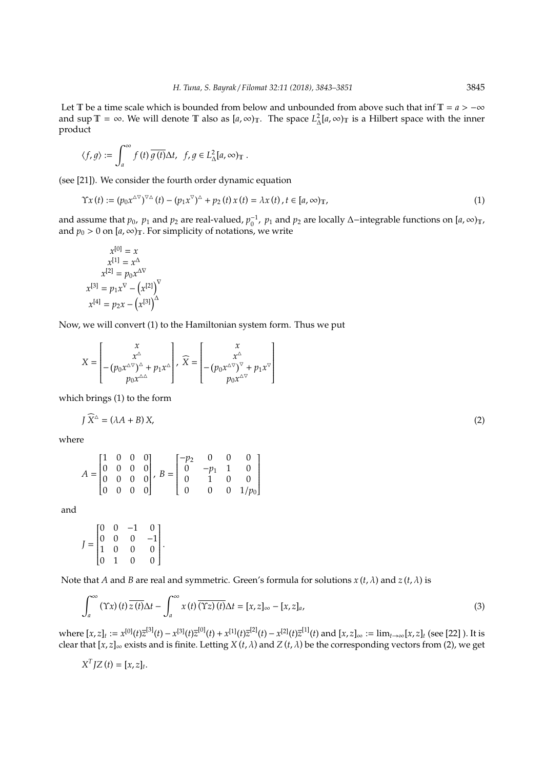Let T be a time scale which is bounded from below and unbounded from above such that inf T =  $a$  > −∞ and sup  $\mathbb{T} = \infty$ . We will denote  $\mathbb{T}$  also as  $[a, \infty)_{\mathbb{T}}$ . The space  $L^2_{\Delta}[a, \infty)_{\mathbb{T}}$  is a Hilbert space with the inner product

$$
\langle f,g\rangle:=\int_a^\infty f\left(t\right)\overline{g\left(t\right)}\Delta t,\ \, f,g\in L^2_\Delta[a,\infty)_\mathbb{T}\;.
$$

(see [21]). We consider the fourth order dynamic equation

$$
\Upsilon x(t) := (p_0 x^{\Delta \nabla})^{\nabla \Delta} (t) - (p_1 x^{\nabla})^{\Delta} + p_2(t) x(t) = \lambda x(t), t \in [a, \infty)_{\mathbb{T}},
$$
\n(1)

and assume that  $p_0$ ,  $p_1$  and  $p_2$  are real-valued,  $p_0^{-1}$ ,  $p_1$  and  $p_2$  are locally ∆−integrable functions on  $[a, \infty)_T$ , and  $p_0 > 0$  on  $[a, \infty)$ <sub>T</sub>. For simplicity of notations, we write

$$
x^{[0]} = x
$$
  
\n
$$
x^{[1]} = x^{\Delta}
$$
  
\n
$$
x^{[2]} = p_0 x^{\Delta V}
$$
  
\n
$$
x^{[3]} = p_1 x^{\nabla} - (x^{[2]})^{\nabla}
$$
  
\n
$$
x^{[4]} = p_2 x - (x^{[3]})^{\Delta}
$$

Now, we will convert (1) to the Hamiltonian system form. Thus we put

$$
X = \begin{bmatrix} x \\ x^{\Delta} \\ -(p_0 x^{\Delta \nabla})^{\Delta} + p_1 x^{\Delta} \\ p_0 x^{\Delta \Delta} \end{bmatrix}, \quad \widehat{X} = \begin{bmatrix} x \\ x^{\Delta} \\ -(p_0 x^{\Delta \nabla})^{\nabla} + p_1 x^{\nabla} \\ p_0 x^{\Delta \nabla} \end{bmatrix}
$$

which brings (1) to the form

$$
J\ \widehat{X}^{\Delta} = (\lambda A + B) \, X,\tag{2}
$$

where

$$
A = \begin{bmatrix} 1 & 0 & 0 & 0 \\ 0 & 0 & 0 & 0 \\ 0 & 0 & 0 & 0 \\ 0 & 0 & 0 & 0 \end{bmatrix}, B = \begin{bmatrix} -p_2 & 0 & 0 & 0 \\ 0 & -p_1 & 1 & 0 \\ 0 & 1 & 0 & 0 \\ 0 & 0 & 0 & 1/p_0 \end{bmatrix}
$$

and

$$
J = \begin{bmatrix} 0 & 0 & -1 & 0 \\ 0 & 0 & 0 & -1 \\ 1 & 0 & 0 & 0 \\ 0 & 1 & 0 & 0 \end{bmatrix}.
$$

Note that *A* and *B* are real and symmetric. Green's formula for solutions  $x(t, \lambda)$  and  $z(t, \lambda)$  is

$$
\int_{a}^{\infty} (\Upsilon x) (t) \overline{z(t)} \Delta t - \int_{a}^{\infty} x (t) \overline{(\Upsilon z) (t)} \Delta t = [x, z]_{\infty} - [x, z]_{a}, \tag{3}
$$

where  $[x, z]_t := x^{[0]}(t)\overline{z}^{[3]}(t) - x^{[3]}(t)\overline{z}^{[0]}(t) + x^{[1]}(t)\overline{z}^{[2]}(t) - x^{[2]}(t)\overline{z}^{[1]}(t)$  and  $[x, z]_{\infty} := \lim_{t\to\infty} [x, z]_t$  (see [22] ). It is clear that [*x*, *z*]<sup>∞</sup> exists and is finite. Letting *X* (*t*, λ) and *Z*(*t*, λ) be the corresponding vectors from (2), we get

$$
X^{T}JZ(t)=[x,z]_{t}.
$$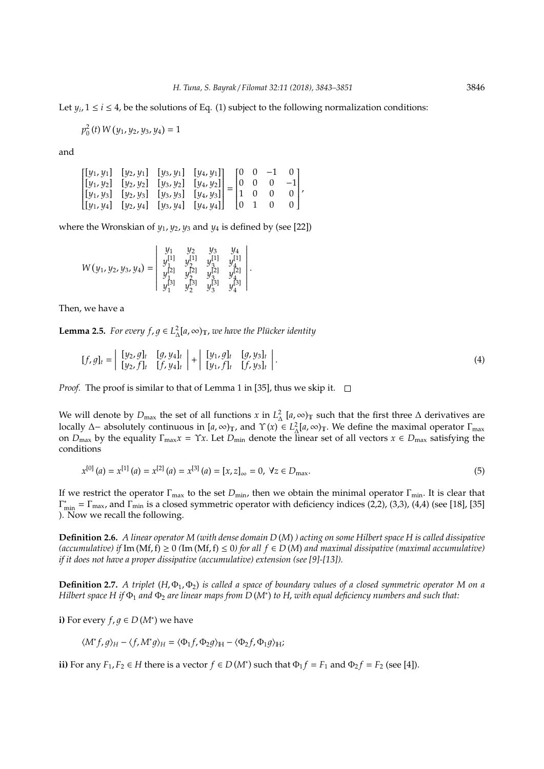Let  $y_i$ ,  $1 \le i \le 4$ , be the solutions of Eq. (1) subject to the following normalization conditions:

$$
p_0^2(t) W(y_1, y_2, y_3, y_4) = 1
$$

and

$$
\begin{bmatrix} [y_1, y_1] & [y_2, y_1] & [y_3, y_1] & [y_4, y_1] \\ [y_1, y_2] & [y_2, y_2] & [y_3, y_2] & [y_4, y_2] \\ [y_1, y_3] & [y_2, y_3] & [y_3, y_3] & [y_4, y_3] \\ [y_1, y_4] & [y_2, y_4] & [y_3, y_4] & [y_4, y_4] \end{bmatrix} = \begin{bmatrix} 0 & 0 & -1 & 0 \\ 0 & 0 & 0 & -1 \\ 1 & 0 & 0 & 0 \\ 0 & 1 & 0 & 0 \end{bmatrix},
$$

where the Wronskian of  $y_1$ ,  $y_2$ ,  $y_3$  and  $y_4$  is defined by (see [22])

$$
W(y_1, y_2, y_3, y_4) = \begin{vmatrix} y_1 & y_2 & y_3 & y_4 \\ y_1^{[1]} & y_2^{[1]} & y_3^{[1]} & y_4^{[1]} \\ y_1^{[2]} & y_2^{[2]} & y_3^{[2]} & y_4^{[2]} \\ y_1^{[3]} & y_2^{[3]} & y_3^{[3]} & y_4^{[3]} \end{vmatrix}.
$$

Then, we have a

**Lemma 2.5.** *For every*  $f, g \in L^2_\Lambda[a, \infty)_T$ *, we have the Plucker identity* 

$$
[f, g]_t = \begin{vmatrix} [y_2, g]_t & [g, y_4]_t \\ [y_2, f]_t & [f, y_4]_t \end{vmatrix} + \begin{vmatrix} [y_1, g]_t & [g, y_3]_t \\ [y_1, f]_t & [f, y_3]_t \end{vmatrix}.
$$
 (4)

*Proof.* The proof is similar to that of Lemma 1 in [35], thus we skip it.  $\square$ 

We will denote by  $D_{\text{max}}$  the set of all functions *x* in  $L^2_\Delta$  [a,  $\infty$ )<sub>T</sub> such that the first three  $\Delta$  derivatives are locally ∆– absolutely continuous in  $[a, \infty)$ <sub>T</sub>, and  $\Upsilon(x) \in L^2_{\Delta}[a, \infty)$ <sub>T</sub>. We define the maximal operator  $\Gamma_{\text{max}}$ on  $D_{\text{max}}$  by the equality  $\Gamma_{\text{max}}x = \Upsilon x$ . Let  $D_{\text{min}}$  denote the linear set of all vectors  $x \in D_{\text{max}}$  satisfying the conditions

$$
x^{[0]}(a) = x^{[1]}(a) = x^{[2]}(a) = x^{[3]}(a) = [x, z]_{\infty} = 0, \forall z \in D_{\text{max}}.\tag{5}
$$

If we restrict the operator Γmax to the set *D*min, then we obtain the minimal operator Γmin. It is clear that  $\Gamma_{\min}^* = \Gamma_{\max}$ , and  $\Gamma_{\min}$  is a closed symmetric operator with deficiency indices (2,2), (3,3), (4,4) (see [18], [35] ). Now we recall the following.

**Definition 2.6.** *A linear operator M (with dense domain D* (*M*) *) acting on some Hilbert space H is called dissipative (accumulative) if* Im (Mf, f)  $\geq$  0 (Im (Mf, f)  $\leq$  0) for all  $f \in D(M)$  and maximal dissipative (maximal accumulative) *if it does not have a proper dissipative (accumulative) extension (see [9]-[13]).*

**Definition 2.7.** *A triplet* (*H*, Φ<sub>1</sub>, Φ<sub>2</sub>) *is called a space of boundary values of a closed symmetric operator M on a Hilbert space H if* Φ<sup>1</sup> *and* Φ<sup>2</sup> *are linear maps from D* (*M*<sup>∗</sup> ) *to H*, *with equal deficiency numbers and such that:*

**i**) For every  $f, g \in D(M^*)$  we have

$$
\langle M^* f, g \rangle_H - \langle f, M^* g \rangle_H = \langle \Phi_1 f, \Phi_2 g \rangle_H - \langle \Phi_2 f, \Phi_1 g \rangle_H;
$$

**ii**) For any  $F_1, F_2 \in H$  there is a vector  $f \in D(M^*)$  such that  $\Phi_1 f = F_1$  and  $\Phi_2 f = F_2$  (see [4]).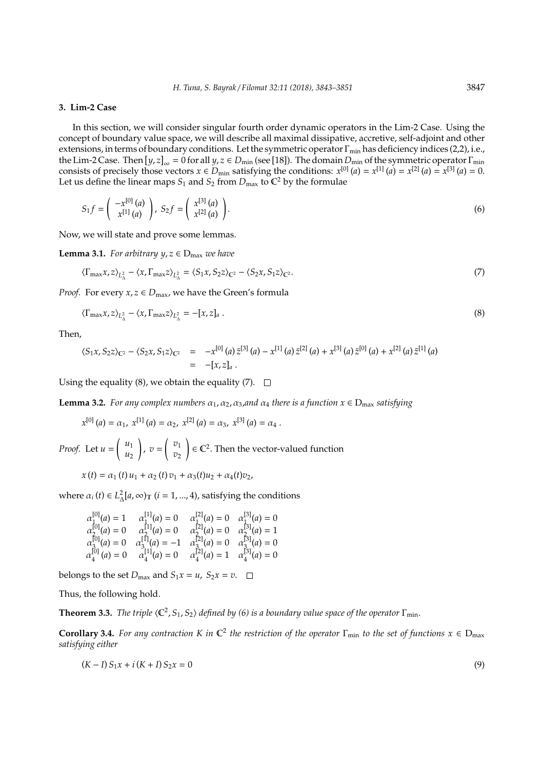#### **3. Lim-2 Case**

In this section, we will consider singular fourth order dynamic operators in the Lim-2 Case. Using the concept of boundary value space, we will describe all maximal dissipative, accretive, self-adjoint and other extensions, in terms of boundary conditions. Let the symmetric operator  $\Gamma_{\rm min}$  has deficiency indices (2,2), i.e., the Lim-2 Case. Then  $[y, z]_{\infty} = 0$  for all  $y, z \in D_{\min}$  (see [18]). The domain  $D_{\min}$  of the symmetric operator  $\Gamma_{\min}$ consists of precisely those vectors  $x \in D_{\text{min}}$  satisfying the conditions:  $x^{[0]}(a) = x^{[1]}(a) = x^{[2]}(a) = x^{[3]}(a) = 0$ . Let us define the linear maps  $S_1$  and  $S_2$  from  $D_{\text{max}}$  to  $\mathbb{C}^2$  by the formulae

$$
S_1 f = \begin{pmatrix} -x^{[0]}(a) \\ x^{[1]}(a) \end{pmatrix}, \ S_2 f = \begin{pmatrix} x^{[3]}(a) \\ x^{[2]}(a) \end{pmatrix}.
$$
 (6)

Now, we will state and prove some lemmas.

**Lemma 3.1.** *For arbitrary*  $y, z \in D_{\text{max}}$  *we have* 

$$
\langle \Gamma_{\text{max}} x, z \rangle_{L^2_{\Delta}} - \langle x, \Gamma_{\text{max}} z \rangle_{L^2_{\Delta}} = \langle S_1 x, S_2 z \rangle_{\mathbb{C}^2} - \langle S_2 x, S_1 z \rangle_{\mathbb{C}^2}.
$$
\n
$$
(7)
$$

*Proof.* For every  $x, z \in D_{\text{max}}$ , we have the Green's formula

$$
\langle \Gamma_{\text{max}} x, z \rangle_{L^2_{\Delta}} - \langle x, \Gamma_{\text{max}} z \rangle_{L^2_{\Delta}} = -[x, z]_a \,. \tag{8}
$$

Then,

$$
\langle S_1x, S_2z\rangle_{\mathbb{C}^2} - \langle S_2x, S_1z\rangle_{\mathbb{C}^2} = -x^{[0]}(a) \bar{z}^{[3]}(a) - x^{[1]}(a) \bar{z}^{[2]}(a) + x^{[3]}(a) \bar{z}^{[0]}(a) + x^{[2]}(a) \bar{z}^{[1]}(a)
$$
  
= -[x, z]\_a.

Using the equality (8), we obtain the equality (7).  $\Box$ 

**Lemma 3.2.** *For any complex numbers*  $\alpha_1$ ,  $\alpha_2$ ,  $\alpha_3$ , *and*  $\alpha_4$  *there is a function*  $x \in D_{\text{max}}$  *satisfying* 

$$
x^{[0]}
$$
 (a) =  $\alpha_1$ ,  $x^{[1]}$  (a) =  $\alpha_2$ ,  $x^{[2]}$  (a) =  $\alpha_3$ ,  $x^{[3]}$  (a) =  $\alpha_4$ .

*Proof.* Let *u* =  $\int u_1$ *u*2 !  $, v =$  $\int v_1$ *v*2  $\Big) \in \mathbb{C}^2$ . Then the vector-valued function

 $x(t) = \alpha_1(t) u_1 + \alpha_2(t) v_1 + \alpha_3(t) u_2 + \alpha_4(t) v_2$ 

where  $\alpha_i$  (*t*)  $\in L^2_{\Delta}[a, \infty)$   $(t = 1, ..., 4)$ , satisfying the conditions

$$
\alpha_1^{[0]}(a) = 1 \qquad \alpha_1^{[1]}(a) = 0 \qquad \alpha_1^{[2]}(a) = 0 \qquad \alpha_1^{[3]}(a) = 0
$$
  
\n
$$
\alpha_2^{[0]}(a) = 0 \qquad \alpha_2^{[1]}(a) = 0 \qquad \alpha_2^{[2]}(a) = 0 \qquad \alpha_2^{[3]}(a) = 1
$$
  
\n
$$
\alpha_3^{[0]}(a) = 0 \qquad \alpha_3^{[1]}(a) = -1 \qquad \alpha_3^{[2]}(a) = 0 \qquad \alpha_3^{[3]}(a) = 0
$$
  
\n
$$
\alpha_4^{[0]}(a) = 0 \qquad \alpha_4^{[1]}(a) = 0 \qquad \alpha_4^{[2]}(a) = 1 \qquad \alpha_4^{[3]}(a) = 0
$$

belongs to the set  $D_{\text{max}}$  and  $S_1x = u$ ,  $S_2x = v$ .  $\Box$ 

Thus, the following hold.

**Theorem 3.3.** *The triple*  $\langle \mathbb{C}^2, S_1, S_2 \rangle$  *defined by (6) is a boundary value space of the operator*  $\Gamma_{\text{min}}$ *.* 

**Corollary 3.4.** For any contraction K in  $\mathbb{C}^2$  the restriction of the operator  $\Gamma_{\min}$  to the set of functions  $x \in D_{\max}$ *satisfying either*

$$
(K - I) S_1 x + i (K + I) S_2 x = 0
$$
\n(9)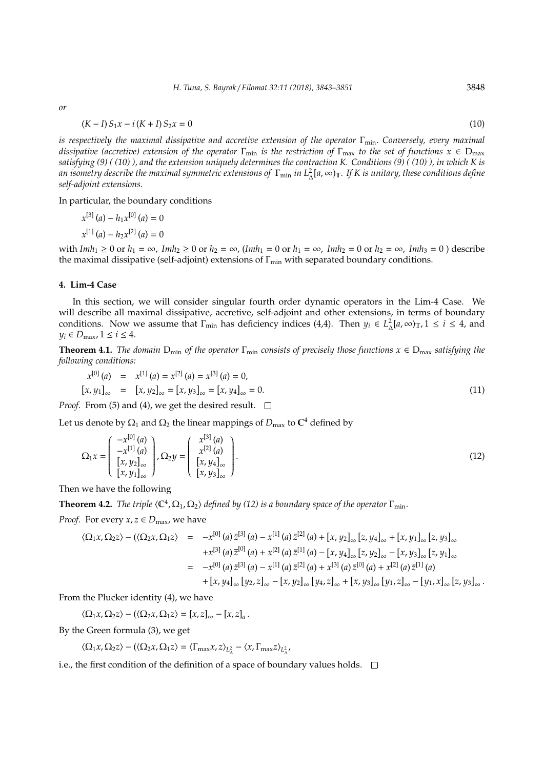*or*

$$
(K - I) S_1 x - i (K + I) S_2 x = 0 \tag{10}
$$

*is respectively the maximal dissipative and accretive extension of the operator* Γmin. *Conversely, every maximal dissipative (accretive) extension of the operator*  $\Gamma_{\rm min}$  *is the restriction of*  $\Gamma_{\rm max}$  *to the set of functions*  $x \in D_{\rm max}$ *satisfying (9) ( (10) ), and the extension uniquely determines the contraction K. Conditions (9) ( (10) ), in which K is*  $a$ n isometry describe the maximal symmetric extensions of Γ<sub>min</sub> in L2 [a,∞)<sub>T</sub>. If K is unitary, these conditions define *self-adjoint extensions.*

In particular, the boundary conditions

$$
x^{[3]}(a) - h_1 x^{[0]}(a) = 0
$$
  

$$
x^{[1]}(a) - h_2 x^{[2]}(a) = 0
$$

with  $Imh_1 \ge 0$  or  $h_1 = \infty$ ,  $Imh_2 \ge 0$  or  $h_2 = \infty$ ,  $(Imh_1 = 0$  or  $h_1 = \infty$ ,  $Imh_2 = 0$  or  $h_2 = \infty$ ,  $Imh_3 = 0$  ) describe the maximal dissipative (self-adjoint) extensions of  $\Gamma_{\text{min}}$  with separated boundary conditions.

#### **4. Lim-4 Case**

 $\mathbf{r}$ 

In this section, we will consider singular fourth order dynamic operators in the Lim-4 Case. We will describe all maximal dissipative, accretive, self-adjoint and other extensions, in terms of boundary conditions. Now we assume that  $\Gamma_{\text{min}}$  has deficiency indices (4,4). Then  $y_i \in L^2_{\Delta}[a, \infty)_T$ ,  $1 \le i \le 4$ , and  $y_i \in D_{\text{max}}$ ,  $1 \leq i \leq 4$ .

**Theorem 4.1.** *The domain*  $D_{min}$  *of the operator*  $\Gamma_{min}$  *consists of precisely those functions*  $x \in D_{max}$  *satisfying the following conditions:*

$$
x^{[0]}(a) = x^{[1]}(a) = x^{[2]}(a) = x^{[3]}(a) = 0,
$$
  
\n
$$
[x, y_1]_{\infty} = [x, y_2]_{\infty} = [x, y_3]_{\infty} = [x, y_4]_{\infty} = 0.
$$
 (11)

*Proof.* From (5) and (4), we get the desired result.  $\square$ 

 $\mathbb{Z}$ 

 $\mathbf{r}$ 

Let us denote by  $\Omega_1$  and  $\Omega_2$  the linear mappings of  $D_{\max}$  to  $\mathbb{C}^4$  defined by

 $\sim$ 

$$
\Omega_1 x = \begin{pmatrix} -x^{[0]}(a) \\ -x^{[1]}(a) \\ [x, y_2]_{\infty} \\ [x, y_1]_{\infty} \end{pmatrix}, \Omega_2 y = \begin{pmatrix} x^{[3]}(a) \\ x^{[2]}(a) \\ [x, y_4]_{\infty} \\ [x, y_3]_{\infty} \end{pmatrix}.
$$
\n(12)

Then we have the following

**Theorem 4.2.** *The triple*  $\langle \mathbb{C}^4, \Omega_1, \Omega_2 \rangle$  *defined by (12) is a boundary space of the operator*  $\Gamma_{\text{min}}$ *.* 

*Proof.* For every  $x, z \in D_{\text{max}}$ , we have

$$
\langle \Omega_{1}x, \Omega_{2}z \rangle - (\langle \Omega_{2}x, \Omega_{1}z \rangle) = -x^{[0]}(a) \bar{z}^{[3]}(a) - x^{[1]}(a) \bar{z}^{[2]}(a) + [x, y_{2}]_{\infty} [z, y_{4}]_{\infty} + [x, y_{1}]_{\infty} [z, y_{3}]_{\infty}
$$
  
\n
$$
+x^{[3]}(a) \bar{z}^{[0]}(a) + x^{[2]}(a) \bar{z}^{[1]}(a) - [x, y_{4}]_{\infty} [z, y_{2}]_{\infty} - [x, y_{3}]_{\infty} [z, y_{1}]_{\infty}
$$
  
\n
$$
= -x^{[0]}(a) \bar{z}^{[3]}(a) - x^{[1]}(a) \bar{z}^{[2]}(a) + x^{[3]}(a) \bar{z}^{[0]}(a) + x^{[2]}(a) \bar{z}^{[1]}(a)
$$
  
\n
$$
+ [x, y_{4}]_{\infty} [y_{2}, z]_{\infty} - [x, y_{2}]_{\infty} [y_{4}, z]_{\infty} + [x, y_{3}]_{\infty} [y_{1}, z]_{\infty} - [y_{1}, x]_{\infty} [z, y_{3}]_{\infty}.
$$

From the Plucker identity (4), we have

$$
\langle \Omega_1 x, \Omega_2 z \rangle - (\langle \Omega_2 x, \Omega_1 z \rangle = [x, z]_{\infty} - [x, z]_a.
$$

By the Green formula (3), we get

$$
\langle \Omega_1 x, \Omega_2 z \rangle - \big ( \langle \Omega_2 x, \Omega_1 z \rangle = \langle \Gamma_{\rm max} x, z \rangle_{L^2_\Delta} - \langle x, \Gamma_{\rm max} z \rangle_{L^2_\Delta},
$$

i.e., the first condition of the definition of a space of boundary values holds.  $\Box$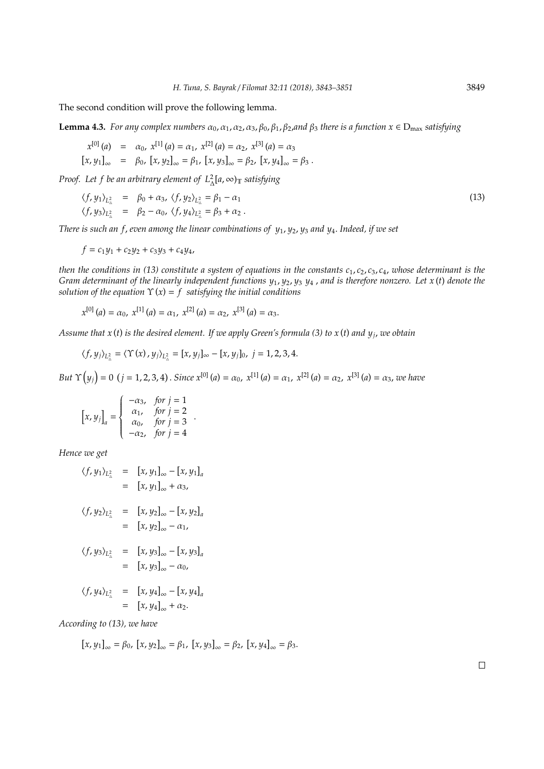The second condition will prove the following lemma.

**Lemma 4.3.** *For any complex numbers*  $\alpha_0$ ,  $\alpha_1$ ,  $\alpha_2$ ,  $\alpha_3$ ,  $\beta_0$ ,  $\beta_1$ ,  $\beta_2$ , and  $\beta_3$  *there is a function*  $x \in D_{\max}$  *satisfying* 

$$
x^{[0]}(a) = \alpha_0, x^{[1]}(a) = \alpha_1, x^{[2]}(a) = \alpha_2, x^{[3]}(a) = \alpha_3
$$
  

$$
[x, y_1]_{\infty} = \beta_0, [x, y_2]_{\infty} = \beta_1, [x, y_3]_{\infty} = \beta_2, [x, y_4]_{\infty} = \beta_3.
$$

*Proof.* Let f be an arbitrary element of  $L^2_\Delta[a,\infty)_T$  satisfying

$$
\langle f, y_1 \rangle_{L^2_{\alpha}} = \beta_0 + \alpha_3, \ \langle f, y_2 \rangle_{L^2_{\alpha}} = \beta_1 - \alpha_1
$$
  

$$
\langle f, y_3 \rangle_{L^2_{\alpha}} = \beta_2 - \alpha_0, \ \langle f, y_4 \rangle_{L^2_{\alpha}} = \beta_3 + \alpha_2.
$$
 (13)

*There is such an f*, *even among the linear combinations of y*1, *y*2, *y*<sup>3</sup> *and y*4. *Indeed, if we set*

$$
f = c_1 y_1 + c_2 y_2 + c_3 y_3 + c_4 y_4,
$$

*then the conditions in (13) constitute a system of equations in the constants*  $c_1$ *,*  $c_2$ *,*  $c_3$ *,*  $c_4$ *, whose determinant is the Gram determinant of the linearly independent functions y*1, *y*2, *y*<sup>3</sup> *y*<sup>4</sup> , *and is therefore nonzero. Let x* (*t*) *denote the solution of the equation*  $\Upsilon(x) = f$  *satisfying the initial conditions* 

$$
x^{[0]}(a) = \alpha_0, x^{[1]}(a) = \alpha_1, x^{[2]}(a) = \alpha_2, x^{[3]}(a) = \alpha_3.
$$

*Assume that x* (*t*) *is the desired element. If we apply Green's formula (3) to x* (*t*) *and y<sup>j</sup>* , *we obtain*

$$
\langle f, y_j \rangle_{L^2_{\lambda}} = \langle \Upsilon(x), y_j \rangle_{L^2_{\lambda}} = [x, y_j]_{\infty} - [x, y_j]_0, \ j = 1, 2, 3, 4.
$$

*But*  $\Upsilon(y_j) = 0$   $(j = 1, 2, 3, 4)$ . *Since*  $x^{[0]}(a) = \alpha_0$ ,  $x^{[1]}(a) = \alpha_1$ ,  $x^{[2]}(a) = \alpha_2$ ,  $x^{[3]}(a) = \alpha_3$ , we have

$$
\begin{bmatrix} x, y_j \end{bmatrix}_a = \begin{cases} -\alpha_3, & \text{for } j = 1 \\ \alpha_1, & \text{for } j = 2 \\ \alpha_0, & \text{for } j = 3 \\ -\alpha_2, & \text{for } j = 4 \end{cases}.
$$

*Hence we get*

$$
\langle f, y_1 \rangle_{L^2_{\Delta}} = [x, y_1]_{\infty} - [x, y_1]_a
$$
  
\n
$$
= [x, y_1]_{\infty} + \alpha_3,
$$
  
\n
$$
\langle f, y_2 \rangle_{L^2_{\Delta}} = [x, y_2]_{\infty} - [x, y_2]_a
$$
  
\n
$$
= [x, y_2]_{\infty} - \alpha_1,
$$
  
\n
$$
\langle f, y_3 \rangle_{L^2_{\Delta}} = [x, y_3]_{\infty} - [x, y_3]_a
$$
  
\n
$$
= [x, y_3]_{\infty} - \alpha_0,
$$
  
\n
$$
\langle f, y_4 \rangle_{L^2_{\Delta}} = [x, y_4]_{\infty} - [x, y_4]_a
$$
  
\n
$$
= [x, y_4]_{\infty} + \alpha_2.
$$

*According to (13), we have*

$$
[x, y_1]_{\infty} = \beta_0, [x, y_2]_{\infty} = \beta_1, [x, y_3]_{\infty} = \beta_2, [x, y_4]_{\infty} = \beta_3.
$$

 $\Box$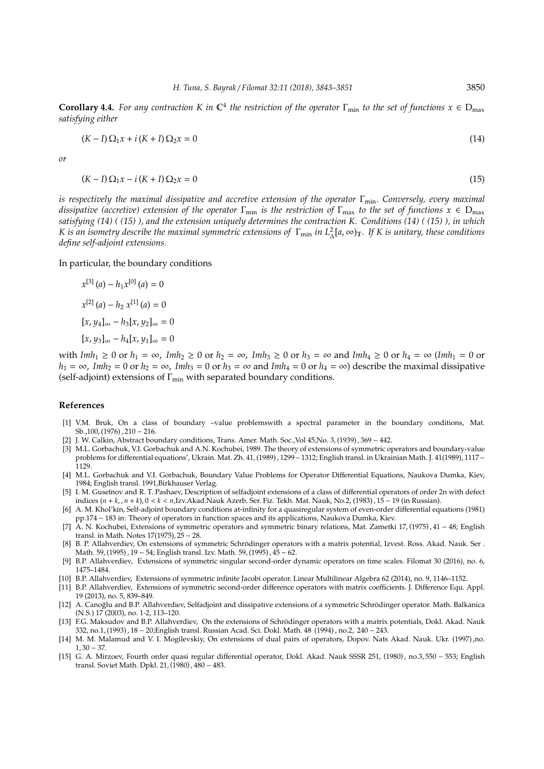**Corollary 4.4.** For any contraction K in  $\mathbb{C}^4$  the restriction of the operator  $\Gamma_{\min}$  to the set of functions  $x \in D_{\max}$ *satisfying either*

$$
(K-I)\Omega_1 x + i(K+I)\Omega_2 x = 0\tag{14}
$$

*or*

$$
(K-I)\,\Omega_1 x - i\,(K+I)\,\Omega_2 x = 0\tag{15}
$$

*is respectively the maximal dissipative and accretive extension of the operator* Γ<sub>min</sub>. *Conversely, every maximal dissipative (accretive) extension of the operator*  $\Gamma_{\rm min}$  *is the restriction of*  $\Gamma_{\rm max}$  *to the set of functions*  $x \in D_{\rm max}$ *satisfying (14) ( (15) ), and the extension uniquely determines the contraction K. Conditions (14) ( (15) ), in which K* is an isometry describe the maximal symmetric extensions of Γ<sub>min</sub> in L<sub>Δ</sub>[a,∞)<sub>T</sub>. If *K* is unitary, these conditions *define self-adjoint extensions.*

In particular, the boundary conditions

$$
x^{[3]}(a) - h_1 x^{[0]}(a) = 0
$$
  
\n
$$
x^{[2]}(a) - h_2 x^{[1]}(a) = 0
$$
  
\n
$$
[x, y_4]_{\infty} - h_3[x, y_2]_{\infty} = 0
$$
  
\n
$$
[x, y_3]_{\infty} - h_4[x, y_1]_{\infty} = 0
$$

with  $Imh_1 \geq 0$  or  $h_1 = \infty$ ,  $Imh_2 \geq 0$  or  $h_2 = \infty$ ,  $Imh_3 \geq 0$  or  $h_3 = \infty$  and  $Imh_4 \geq 0$  or  $h_4 = \infty$  ( $Imh_1 = 0$  or  $h_1 = \infty$ , *Imh*<sub>2</sub> = 0 or  $h_2 = \infty$ , *Imh*<sub>3</sub> = 0 or  $h_3 = \infty$  and *Imh*<sub>4</sub> = 0 or  $h_4 = \infty$ ) describe the maximal dissipative (self-adjoint) extensions of  $\Gamma_{\text{min}}$  with separated boundary conditions.

## **References**

- [1] V.M. Bruk, On a class of boundary –value problemswith a spectral parameter in the boundary conditions, Mat. Sb.,100, (1976) , 210 − 216.
- [2] J. W. Calkin, Abstract boundary conditions, Trans. Amer. Math. Soc.,Vol 45,No. 3, (1939) , 369 − 442.
- [3] M.L. Gorbachuk, V.I. Gorbachuk and A.N. Kochubei, 1989. The theory of extensions of symmetric operators and boundary-value problems for differential equations', Ukrain. Mat. Zh. 41, (1989) , 1299−1312; English transl. in Ukrainian Math. J. 41(1989), 1117− 1129.
- [4] M.L. Gorbachuk and V.I. Gorbachuk, Boundary Value Problems for Operator Differential Equations, Naukova Dumka, Kiev, 1984; English transl. 1991,Birkhauser Verlag.
- [5] I. M. Guseĭnov and R. T. Pashaev, Description of selfadjoint extensions of a class of differential operators of order 2n with defect indices (*n* + *k*, , *n* + *k*), 0 < *k* < *n*,Izv.Akad.Nauk Azerb. Ser. Fiz. Tekh. Mat. Nauk, No.2, (1983) , 15 − 19 (in Russian).
- [6] A. M. Khol'kin, Self-adjoint boundary conditions at-infinity for a quasiregular system of even-order differential equations (1981) pp.174 − 183 in: Theory of operators in function spaces and its applications, Naukova Dumka, Kiev.
- [7] A. N. Kochubei, Extensions of symmetric operators and symmetric binary relations, Mat. Zametki 17, (1975) , 41 − 48; English transl. in Math. Notes 17(1975), 25 − 28.
- [8] B. P. Allahverdiev, On extensions of symmetric Schrödinger operators with a matrix potential, Izvest. Ross. Akad. Nauk. Ser . Math. 59, (1995) , 19 − 54; English transl. Izv. Math. 59, (1995) , 45 − 62.
- [9] B.P. Allahverdiev, Extensions of symmetric singular second-order dynamic operators on time scales. Filomat 30 (2016), no. 6, 1475–1484.
- [10] B.P. Allahverdiev, Extensions of symmetric infinite Jacobi operator. Linear Multilinear Algebra 62 (2014), no. 9, 1146–1152.
- [11] B.P. Allahverdiev, Extensions of symmetric second-order difference operators with matrix coefficients. J. Difference Equ. Appl. 19 (2013), no. 5, 839–849.
- [12] A. Canoğlu and B.P. Allahverdiev, Selfadjoint and dissipative extensions of a symmetric Schrödinger operator. Math. Balkanica (N.S.) 17 (2003), no. 1-2, 113–120.
- [13] F.G. Maksudov and B.P. Allahverdiev, On the extensions of Schrödinger operators with a matrix potentials, Dokl. Akad. Nauk 332, no.1, (1993) , 18 − 20;English transl. Russian Acad. Sci. Dokl. Math. 48 (1994) , no.2, 240 − 243.
- [14] M. M. Malamud and V. I. Mogilevskiy, On extensions of dual pairs of operators, Dopov. Nats Akad. Nauk. Ukr. (1997) ,no.  $1,30 - 37.$
- [15] G. A. Mirzoev, Fourth order quasi regular differential operator, Dokl. Akad. Nauk SSSR 251, (1980) , no.3, 550 − 553; English transl. Soviet Math. Dpkl. 21, (1980) , 480 − 483.